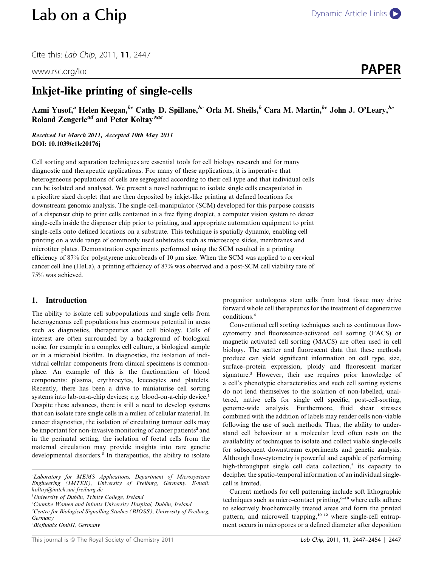Cite this: Lab Chip, 2011, <sup>11</sup>, 2447

www.rsc.org/loc **PAPER** 

# Inkjet-like printing of single-cells

Azmi Yusof,<sup>a</sup> Helen Keegan,<sup>bc</sup> Cathy D. Spillane,<sup>bc</sup> Orla M. Sheils,<sup>b</sup> Cara M. Martin,<sup>bc</sup> John J. O'Leary,<sup>bc</sup> Roland Zengerle<sup>ad</sup> and Peter Koltay<sup>\*ae</sup>

Received 1st March 2011, Accepted 10th May 2011 DOI: 10.1039/c1lc20176j

Cell sorting and separation techniques are essential tools for cell biology research and for many diagnostic and therapeutic applications. For many of these applications, it is imperative that heterogeneous populations of cells are segregated according to their cell type and that individual cells can be isolated and analysed. We present a novel technique to isolate single cells encapsulated in a picolitre sized droplet that are then deposited by inkjet-like printing at defined locations for downstream genomic analysis. The single-cell-manipulator (SCM) developed for this purpose consists of a dispenser chip to print cells contained in a free flying droplet, a computer vision system to detect single-cells inside the dispenser chip prior to printing, and appropriate automation equipment to print single-cells onto defined locations on a substrate. This technique is spatially dynamic, enabling cell printing on a wide range of commonly used substrates such as microscope slides, membranes and microtiter plates. Demonstration experiments performed using the SCM resulted in a printing efficiency of 87% for polystyrene microbeads of 10  $\mu$ m size. When the SCM was applied to a cervical cancer cell line (HeLa), a printing efficiency of 87% was observed and a post-SCM cell viability rate of 75% was achieved.

# 1. Introduction

The ability to isolate cell subpopulations and single cells from heterogeneous cell populations has enormous potential in areas such as diagnostics, therapeutics and cell biology. Cells of interest are often surrounded by a background of biological noise, for example in a complex cell culture, a biological sample or in a microbial biofilm. In diagnostics, the isolation of individual cellular components from clinical specimens is commonplace. An example of this is the fractionation of blood components: plasma, erythrocytes, leucocytes and platelets. Recently, there has been a drive to miniaturise cell sorting systems into lab-on-a-chip devices; e.g. blood-on-a-chip device.<sup>1</sup> Despite these advances, there is still a need to develop systems that can isolate rare single cells in a milieu of cellular material. In cancer diagnostics, the isolation of circulating tumour cells may be important for non-invasive monitoring of cancer patients<sup>2</sup> and in the perinatal setting, the isolation of foetal cells from the maternal circulation may provide insights into rare genetic developmental disorders.<sup>3</sup> In therapeutics, the ability to isolate

a Laboratory for MEMS Applications, Department of Microsystems Engineering (IMTEK), University of Freiburg, Germany. E-mail: koltay@imtek.uni-freiburg.de

b University of Dublin, Trinity College, Ireland

Coombe Women and Infants University Hospital, Dublin, Ireland<sup>c</sup>

<sup>d</sup>Centre for Biological Signalling Studies (BIOSS), University of Freiburg, Germany e Biofluidix GmbH, Germany

progenitor autologous stem cells from host tissue may drive forward whole cell therapeutics for the treatment of degenerative conditions.<sup>4</sup>

Conventional cell sorting techniques such as continuous flowcytometry and fluorescence-activated cell sorting (FACS) or magnetic activated cell sorting (MACS) are often used in cell biology. The scatter and fluorescent data that these methods produce can yield significant information on cell type, size, surface–protein expression, ploidy and fluorescent marker signature.<sup>5</sup> However, their use requires prior knowledge of a cell's phenotypic characteristics and such cell sorting systems do not lend themselves to the isolation of non-labelled, unaltered, native cells for single cell specific, post-cell-sorting, genome-wide analysis. Furthermore, fluid shear stresses combined with the addition of labels may render cells non-viable following the use of such methods. Thus, the ability to understand cell behaviour at a molecular level often rests on the availability of techniques to isolate and collect viable single-cells for subsequent downstream experiments and genetic analysis. Although flow-cytometry is powerful and capable of performing high-throughput single cell data collection,<sup>5</sup> its capacity to decipher the spatio-temporal information of an individual singlecell is limited.

Current methods for cell patterning include soft lithographic techniques such as micro-contact printing, $6-10$  where cells adhere to selectively biochemically treated areas and form the printed pattern, and microwell trapping,<sup>10–12</sup> where single-cell entrapment occurs in micropores or a defined diameter after deposition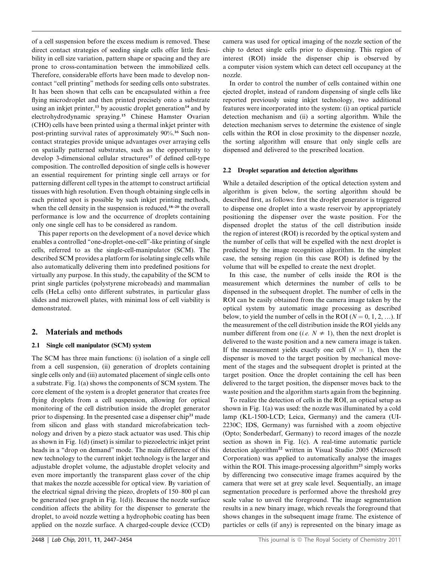of a cell suspension before the excess medium is removed. These direct contact strategies of seeding single cells offer little flexibility in cell size variation, pattern shape or spacing and they are prone to cross-contamination between the immobilized cells. Therefore, considerable efforts have been made to develop noncontact ''cell printing'' methods for seeding cells onto substrates. It has been shown that cells can be encapsulated within a free flying microdroplet and then printed precisely onto a substrate using an inkjet printer,<sup>13</sup> by acoustic droplet generation<sup>14</sup> and by electrohydrodynamic spraying.<sup>15</sup> Chinese Hamster Ovarian (CHO) cells have been printed using a thermal inkjet printer with post-printing survival rates of approximately 90%.<sup>16</sup> Such noncontact strategies provide unique advantages over arraying cells on spatially patterned substrates, such as the opportunity to develop 3-dimensional cellular structures<sup>17</sup> of defined cell-type composition. The controlled deposition of single cells is however an essential requirement for printing single cell arrays or for patterning different cell types in the attempt to construct artificial tissues with high resolution. Even though obtaining single cells in each printed spot is possible by such inkjet printing methods, when the cell density in the suspension is reduced,<sup>18-20</sup> the overall performance is low and the occurrence of droplets containing only one single cell has to be considered as random.

This paper reports on the development of a novel device which enables a controlled ''one-droplet-one-cell''-like printing of single cells, referred to as the single-cell-manipulator (SCM). The described SCM provides a platform for isolating single cells while also automatically delivering them into predefined positions for virtually any purpose. In this study, the capability of the SCM to print single particles (polystyrene microbeads) and mammalian cells (HeLa cells) onto different substrates, in particular glass slides and microwell plates, with minimal loss of cell viability is demonstrated.

# 2. Materials and methods

# 2.1 Single cell manipulator (SCM) system

The SCM has three main functions: (i) isolation of a single cell from a cell suspension, (ii) generation of droplets containing single cells only and (iii) automated placement of single cells onto a substrate. Fig. 1(a) shows the components of SCM system. The core element of the system is a droplet generator that creates free flying droplets from a cell suspension, allowing for optical monitoring of the cell distribution inside the droplet generator prior to dispensing. In the presented case a dispenser chip<sup>21</sup> made from silicon and glass with standard microfabrication technology and driven by a piezo stack actuator was used. This chip as shown in Fig. 1(d) (inset) is similar to piezoelectric inkjet print heads in a ''drop on demand'' mode. The main difference of this new technology to the current inkjet technology is the larger and adjustable droplet volume, the adjustable droplet velocity and even more importantly the transparent glass cover of the chip that makes the nozzle accessible for optical view. By variation of the electrical signal driving the piezo, droplets of 150–800 pl can be generated (see graph in Fig. 1(d)). Because the nozzle surface condition affects the ability for the dispenser to generate the droplet, to avoid nozzle wetting a hydrophobic coating has been applied on the nozzle surface. A charged-couple device (CCD)

camera was used for optical imaging of the nozzle section of the chip to detect single cells prior to dispensing. This region of interest (ROI) inside the dispenser chip is observed by a computer vision system which can detect cell occupancy at the nozzle.

In order to control the number of cells contained within one ejected droplet, instead of random dispensing of single cells like reported previously using inkjet technology, two additional features were incorporated into the system: (i) an optical particle detection mechanism and (ii) a sorting algorithm. While the detection mechanism serves to determine the existence of single cells within the ROI in close proximity to the dispenser nozzle, the sorting algorithm will ensure that only single cells are dispensed and delivered to the prescribed location.

# 2.2 Droplet separation and detection algorithms

While a detailed description of the optical detection system and algorithm is given below, the sorting algorithm should be described first, as follows: first the droplet generator is triggered to dispense one droplet into a waste reservoir by appropriately positioning the dispenser over the waste position. For the dispensed droplet the status of the cell distribution inside the region of interest (ROI) is recorded by the optical system and the number of cells that will be expelled with the next droplet is predicted by the image recognition algorithm. In the simplest case, the sensing region (in this case ROI) is defined by the volume that will be expelled to create the next droplet.

In this case, the number of cells inside the ROI is the measurement which determines the number of cells to be dispensed in the subsequent droplet. The number of cells in the ROI can be easily obtained from the camera image taken by the optical system by automatic image processing as described below, to yield the number of cells in the ROI ( $N = 0, 1, 2, ...$ ). If the measurement of the cell distribution inside the ROI yields any number different from one (*i.e.*  $N \neq 1$ ), then the next droplet is delivered to the waste position and a new camera image is taken. If the measurement yields exactly one cell  $(N = 1)$ , then the dispenser is moved to the target position by mechanical movement of the stages and the subsequent droplet is printed at the target position. Once the droplet containing the cell has been delivered to the target position, the dispenser moves back to the waste position and the algorithm starts again from the beginning.

To realize the detection of cells in the ROI, an optical setup as shown in Fig. 1(a) was used: the nozzle was illuminated by a cold lamp (KL-1500-LCD; Leica, Germany) and the camera (UI-2230C; IDS, Germany) was furnished with a zoom objective (Opto; Sonderbedarf, Germany) to record images of the nozzle section as shown in Fig. 1(c). A real-time automatic particle detection algorithm<sup>22</sup> written in Visual Studio 2005 (Microsoft Corporation) was applied to automatically analyse the images within the ROI. This image-processing algorithm<sup>23</sup> simply works by differencing two consecutive image frames acquired by the camera that were set at grey scale level. Sequentially, an image segmentation procedure is performed above the threshold grey scale value to unveil the foreground. The image segmentation results in a new binary image, which reveals the foreground that shows changes in the subsequent image frame. The existence of particles or cells (if any) is represented on the binary image as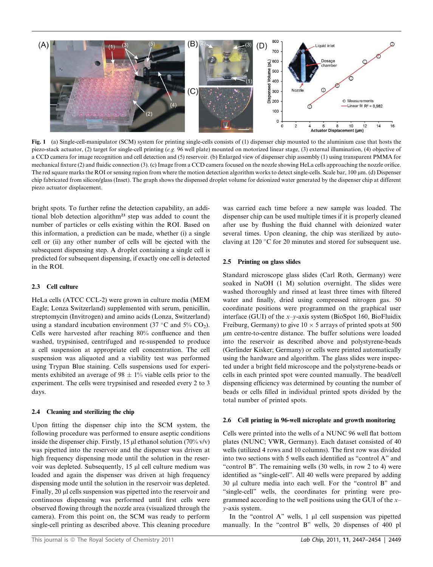

Fig. 1 (a) Single-cell-manipulator (SCM) system for printing single-cells consists of (1) dispenser chip mounted to the aluminium case that hosts the piezo-stack actuator, (2) target for single-cell printing (e.g. 96 well plate) mounted on motorized linear stage, (3) external illumination, (4) objective of a CCD camera for image recognition and cell detection and (5) reservoir. (b) Enlarged view of dispenser chip assembly (1) using transparent PMMA for mechanical fixture (2) and fluidic connection (3). (c) Image from a CCD camera focused on the nozzle showing HeLa cells approaching the nozzle orifice. The red square marks the ROI or sensing region from where the motion detection algorithm works to detect single-cells. Scale bar,  $100 \mu m$ . (d) Dispenser chip fabricated from silicon/glass (Inset). The graph shows the dispensed droplet volume for deionized water generated by the dispenser chip at different piezo actuator displacement.

bright spots. To further refine the detection capability, an additional blob detection algorithm<sup>23</sup> step was added to count the number of particles or cells existing within the ROI. Based on this information, a prediction can be made, whether (i) a single cell or (ii) any other number of cells will be ejected with the subsequent dispensing step. A droplet containing a single cell is predicted for subsequent dispensing, if exactly one cell is detected in the ROI.

#### 2.3 Cell culture

HeLa cells (ATCC CCL-2) were grown in culture media (MEM Eagle; Lonza Switzerland) supplemented with serum, penicillin, streptomycin (Invitrogen) and amino acids (Lonza, Switzerland) using a standard incubation environment (37  $\mathrm{^{\circ}C}$  and 5%  $\mathrm{CO_{2}}$ ). Cells were harvested after reaching 80% confluence and then washed, trypsinised, centrifuged and re-suspended to produce a cell suspension at appropriate cell concentration. The cell suspension was aliquoted and a viability test was performed using Trypan Blue staining. Cells suspensions used for experiments exhibited an average of 98  $\pm$  1% viable cells prior to the experiment. The cells were trypsinised and reseeded every 2 to 3 days.

#### 2.4 Cleaning and sterilizing the chip

Upon fitting the dispenser chip into the SCM system, the following procedure was performed to ensure aseptic conditions inside the dispenser chip. Firstly, 15  $\mu$ l ethanol solution (70% v/v) was pipetted into the reservoir and the dispenser was driven at high frequency dispensing mode until the solution in the reservoir was depleted. Subsequently, 15 µl cell culture medium was loaded and again the dispenser was driven at high frequency dispensing mode until the solution in the reservoir was depleted. Finally, 20  $\mu$ l cells suspension was pipetted into the reservoir and continuous dispensing was performed until first cells were observed flowing through the nozzle area (visualized through the camera). From this point on, the SCM was ready to perform single-cell printing as described above. This cleaning procedure

was carried each time before a new sample was loaded. The dispenser chip can be used multiple times if it is properly cleaned after use by flushing the fluid channel with deionized water several times. Upon cleaning, the chip was sterilized by autoclaving at 120  $\degree$ C for 20 minutes and stored for subsequent use.

## 2.5 Printing on glass slides

Standard microscope glass slides (Carl Roth, Germany) were soaked in NaOH (1 M) solution overnight. The slides were washed thoroughly and rinsed at least three times with filtered water and finally, dried using compressed nitrogen gas. 50 coordinate positions were programmed on the graphical user interface (GUI) of the  $x-y$ -axis system (BioSpot 160, BioFluidix Freiburg, Germany) to give  $10 \times 5$  arrays of printed spots at 500 mm centre-to-centre distance. The buffer solutions were loaded into the reservoir as described above and polystyrene-beads (Gerlinder Kisker; Germany) or cells were printed automatically using the hardware and algorithm. The glass slides were inspected under a bright field microscope and the polystyrene-beads or cells in each printed spot were counted manually. The bead/cell dispensing efficiency was determined by counting the number of beads or cells filled in individual printed spots divided by the total number of printed spots.

#### 2.6 Cell printing in 96-well microplate and growth monitoring

Cells were printed into the wells of a NUNC 96 well flat bottom plates (NUNC; VWR, Germany). Each dataset consisted of 40 wells (utilized 4 rows and 10 columns). The first row was divided into two sections with 5 wells each identified as ''control A'' and "control B". The remaining wells (30 wells, in row 2 to 4) were identified as ''single-cell''. All 40 wells were prepared by adding 30 µl culture media into each well. For the "control B" and "single-cell" wells, the coordinates for printing were programmed according to the well positions using the GUI of the x– y-axis system.

In the "control A" wells,  $1 \mu l$  cell suspension was pipetted manually. In the "control B" wells, 20 dispenses of 400 pl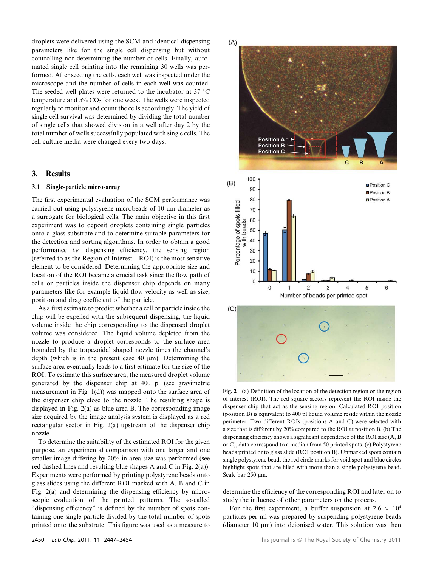droplets were delivered using the SCM and identical dispensing parameters like for the single cell dispensing but without controlling nor determining the number of cells. Finally, automated single cell printing into the remaining 30 wells was performed. After seeding the cells, each well was inspected under the microscope and the number of cells in each well was counted. The seeded well plates were returned to the incubator at  $37 \text{ }^{\circ}\text{C}$ temperature and  $5\%$  CO<sub>2</sub> for one week. The wells were inspected regularly to monitor and count the cells accordingly. The yield of single cell survival was determined by dividing the total number of single cells that showed division in a well after day 2 by the total number of wells successfully populated with single cells. The cell culture media were changed every two days.

## 3. Results

#### 3.1 Single-particle micro-array

The first experimental evaluation of the SCM performance was carried out using polystyrene microbeads of  $10 \mu m$  diameter as a surrogate for biological cells. The main objective in this first experiment was to deposit droplets containing single particles onto a glass substrate and to determine suitable parameters for the detection and sorting algorithms. In order to obtain a good performance i.e. dispensing efficiency, the sensing region (referred to as the Region of Interest—ROI) is the most sensitive element to be considered. Determining the appropriate size and location of the ROI became a crucial task since the flow path of cells or particles inside the dispenser chip depends on many parameters like for example liquid flow velocity as well as size, position and drag coefficient of the particle.

As a first estimate to predict whether a cell or particle inside the chip will be expelled with the subsequent dispensing, the liquid volume inside the chip corresponding to the dispensed droplet volume was considered. The liquid volume depleted from the nozzle to produce a droplet corresponds to the surface area bounded by the trapezoidal shaped nozzle times the channel's depth (which is in the present case 40  $\mu$ m). Determining the surface area eventually leads to a first estimate for the size of the ROI. To estimate this surface area, the measured droplet volume generated by the dispenser chip at 400 pl (see gravimetric measurement in Fig. 1(d)) was mapped onto the surface area of the dispenser chip close to the nozzle. The resulting shape is displayed in Fig. 2(a) as blue area B. The corresponding image size acquired by the image analysis system is displayed as a red rectangular sector in Fig. 2(a) upstream of the dispenser chip nozzle.

To determine the suitability of the estimated ROI for the given purpose, an experimental comparison with one larger and one smaller image differing by 20% in area size was performed (see red dashed lines and resulting blue shapes A and C in Fig. 2(a)). Experiments were performed by printing polystyrene beads onto glass slides using the different ROI marked with A, B and C in Fig. 2(a) and determining the dispensing efficiency by microscopic evaluation of the printed patterns. The so-called ''dispensing efficiency'' is defined by the number of spots containing one single particle divided by the total number of spots printed onto the substrate. This figure was used as a measure to



Fig. 2 (a) Definition of the location of the detection region or the region of interest (ROI). The red square sectors represent the ROI inside the dispenser chip that act as the sensing region. Calculated ROI position (position B) is equivalent to 400 pl liquid volume reside within the nozzle perimeter. Two different ROIs (positions A and C) were selected with a size that is different by 20% compared to the ROI at position B. (b) The dispensing efficiency shows a significant dependence of the ROI size (A, B or C), data correspond to a median from 50 printed spots. (c) Polystyrene beads printed onto glass slide (ROI position B). Unmarked spots contain single polystyrene bead, the red circle marks for void spot and blue circles highlight spots that are filled with more than a single polystyrene bead. Scale bar 250 µm.

determine the efficiency of the corresponding ROI and later on to study the influence of other parameters on the process.

For the first experiment, a buffer suspension at  $2.6 \times 10^4$ particles per ml was prepared by suspending polystyrene beads (diameter  $10 \mu m$ ) into deionised water. This solution was then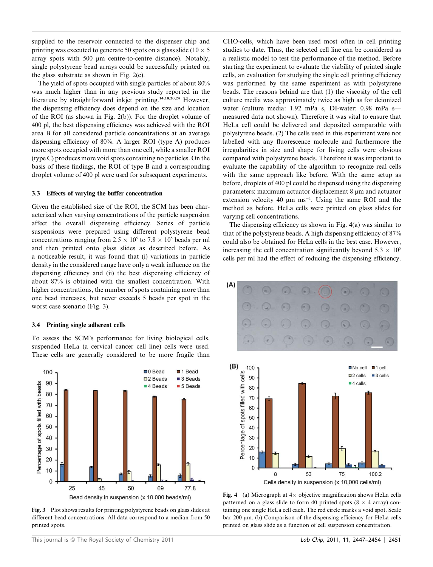supplied to the reservoir connected to the dispenser chip and printing was executed to generate 50 spots on a glass slide ( $10 \times 5$ ) array spots with 500  $\mu$ m centre-to-centre distance). Notably, single polystyrene bead arrays could be successfully printed on the glass substrate as shown in Fig. 2(c).

The yield of spots occupied with single particles of about 80% was much higher than in any previous study reported in the literature by straightforward inkjet printing.14,18,20,24 However, the dispensing efficiency does depend on the size and location of the ROI (as shown in Fig. 2(b)). For the droplet volume of 400 pl, the best dispensing efficiency was achieved with the ROI area B for all considered particle concentrations at an average dispensing efficiency of 80%. A larger ROI (type A) produces more spots occupied with more than one cell, while a smaller ROI (type C) produces more void spots containing no particles. On the basis of these findings, the ROI of type B and a corresponding droplet volume of 400 pl were used for subsequent experiments.

#### 3.3 Effects of varying the buffer concentration

Given the established size of the ROI, the SCM has been characterized when varying concentrations of the particle suspension affect the overall dispensing efficiency. Series of particle suspensions were prepared using different polystyrene bead concentrations ranging from  $2.5 \times 10^5$  to  $7.8 \times 10^5$  beads per ml and then printed onto glass slides as described before. As a noticeable result, it was found that (i) variations in particle density in the considered range have only a weak influence on the dispensing efficiency and (ii) the best dispensing efficiency of about 87% is obtained with the smallest concentration. With higher concentrations, the number of spots containing more than one bead increases, but never exceeds 5 beads per spot in the worst case scenario (Fig. 3).

## 3.4 Printing single adherent cells

To assess the SCM's performance for living biological cells, suspended HeLa (a cervical cancer cell line) cells were used. These cells are generally considered to be more fragile than



Fig. 3 Plot shows results for printing polystyrene beads on glass slides at different bead concentrations. All data correspond to a median from 50 printed spots.

CHO-cells, which have been used most often in cell printing studies to date. Thus, the selected cell line can be considered as a realistic model to test the performance of the method. Before starting the experiment to evaluate the viability of printed single cells, an evaluation for studying the single cell printing efficiency was performed by the same experiment as with polystyrene beads. The reasons behind are that (1) the viscosity of the cell culture media was approximately twice as high as for deionized water (culture media: 1.92 mPa s, DI-water: 0.98 mPa s measured data not shown). Therefore it was vital to ensure that HeLa cell could be delivered and deposited comparable with polystyrene beads. (2) The cells used in this experiment were not labelled with any fluorescence molecule and furthermore the irregularities in size and shape for living cells were obvious compared with polystyrene beads. Therefore it was important to evaluate the capability of the algorithm to recognize real cells with the same approach like before. With the same setup as before, droplets of 400 pl could be dispensed using the dispensing parameters: maximum actuator displacement  $8 \mu$ m and actuator extension velocity 40  $\mu$ m ms<sup>-1</sup>. Using the same ROI and the method as before, HeLa cells were printed on glass slides for varying cell concentrations.

The dispensing efficiency as shown in Fig. 4(a) was similar to that of the polystyrene beads. A high dispensing efficiency of 87% could also be obtained for HeLa cells in the best case. However, increasing the cell concentration significantly beyond  $5.3 \times 10^5$ cells per ml had the effect of reducing the dispensing efficiency.



Fig. 4 (a) Micrograph at  $4 \times$  objective magnification shows HeLa cells patterned on a glass slide to form 40 printed spots ( $8 \times 4$  array) containing one single HeLa cell each. The red circle marks a void spot. Scale bar 200 µm. (b) Comparison of the dispensing efficiency for HeLa cells printed on glass slide as a function of cell suspension concentration.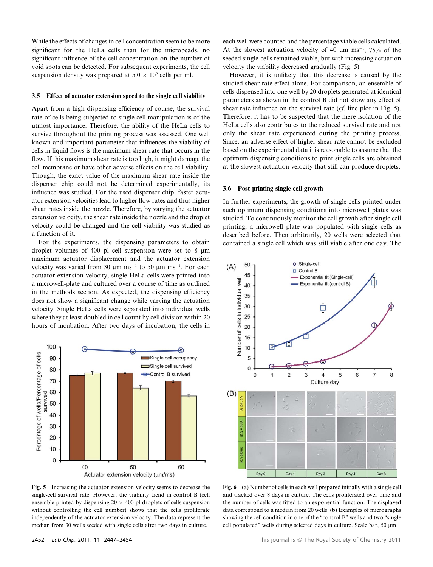While the effects of changes in cell concentration seem to be more significant for the HeLa cells than for the microbeads, no significant influence of the cell concentration on the number of void spots can be detected. For subsequent experiments, the cell suspension density was prepared at  $5.0 \times 10^5$  cells per ml.

#### 3.5 Effect of actuator extension speed to the single cell viability

Apart from a high dispensing efficiency of course, the survival rate of cells being subjected to single cell manipulation is of the utmost importance. Therefore, the ability of the HeLa cells to survive throughout the printing process was assessed. One well known and important parameter that influences the viability of cells in liquid flows is the maximum shear rate that occurs in the flow. If this maximum shear rate is too high, it might damage the cell membrane or have other adverse effects on the cell viability. Though, the exact value of the maximum shear rate inside the dispenser chip could not be determined experimentally, its influence was studied. For the used dispenser chip, faster actuator extension velocities lead to higher flow rates and thus higher shear rates inside the nozzle. Therefore, by varying the actuator extension velocity, the shear rate inside the nozzle and the droplet velocity could be changed and the cell viability was studied as a function of it.

For the experiments, the dispensing parameters to obtain droplet volumes of 400 pl cell suspension were set to 8  $\mu$ m maximum actuator displacement and the actuator extension velocity was varied from 30  $\mu$ m ms<sup>-1</sup> to 50  $\mu$ m ms<sup>-1</sup>. For each actuator extension velocity, single HeLa cells were printed into a microwell-plate and cultured over a course of time as outlined in the methods section. As expected, the dispensing efficiency does not show a significant change while varying the actuation velocity. Single HeLa cells were separated into individual wells where they at least doubled in cell count by cell division within 20 hours of incubation. After two days of incubation, the cells in



Fig. 5 Increasing the actuator extension velocity seems to decrease the single-cell survival rate. However, the viability trend in control B (cell ensemble printed by dispensing  $20 \times 400$  pl droplets of cells suspension without controlling the cell number) shows that the cells proliferate independently of the actuator extension velocity. The data represent the median from 30 wells seeded with single cells after two days in culture.

each well were counted and the percentage viable cells calculated. At the slowest actuation velocity of 40  $\mu$ m ms<sup>-1</sup>, 75% of the seeded single-cells remained viable, but with increasing actuation velocity the viability decreased gradually (Fig. 5).

However, it is unlikely that this decrease is caused by the studied shear rate effect alone. For comparison, an ensemble of cells dispensed into one well by 20 droplets generated at identical parameters as shown in the control B did not show any effect of shear rate influence on the survival rate (cf. line plot in Fig. 5). Therefore, it has to be suspected that the mere isolation of the HeLa cells also contributes to the reduced survival rate and not only the shear rate experienced during the printing process. Since, an adverse effect of higher shear rate cannot be excluded based on the experimental data it is reasonable to assume that the optimum dispensing conditions to print single cells are obtained at the slowest actuation velocity that still can produce droplets.

#### 3.6 Post-printing single cell growth

In further experiments, the growth of single cells printed under such optimum dispensing conditions into microwell plates was studied. To continuously monitor the cell growth after single cell printing, a microwell plate was populated with single cells as described before. Then arbitrarily, 20 wells were selected that contained a single cell which was still viable after one day. The



Fig. 6 (a) Number of cells in each well prepared initially with a single cell and tracked over 8 days in culture. The cells proliferated over time and the number of cells was fitted to an exponential function. The displayed data correspond to a median from 20 wells. (b) Examples of micrographs showing the cell condition in one of the "control B" wells and two "single cell populated" wells during selected days in culture. Scale bar,  $50 \mu m$ .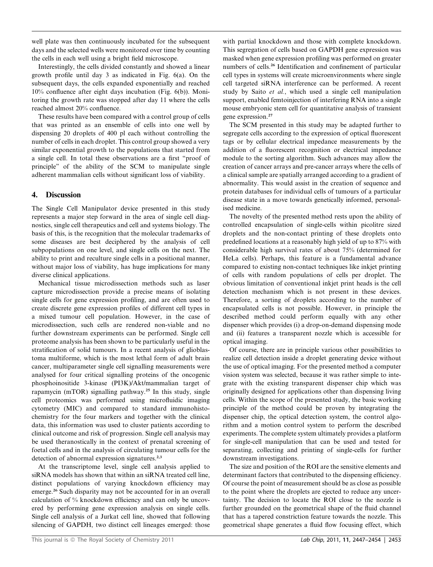well plate was then continuously incubated for the subsequent days and the selected wells were monitored over time by counting the cells in each well using a bright field microscope.

Interestingly, the cells divided constantly and showed a linear growth profile until day 3 as indicated in Fig. 6(a). On the subsequent days, the cells expanded exponentially and reached 10% confluence after eight days incubation (Fig. 6(b)). Monitoring the growth rate was stopped after day 11 where the cells reached almost 20% confluence.

These results have been compared with a control group of cells that was printed as an ensemble of cells into one well by dispensing 20 droplets of 400 pl each without controlling the number of cells in each droplet. This control group showed a very similar exponential growth to the populations that started from a single cell. In total these observations are a first ''proof of principle'' of the ability of the SCM to manipulate single adherent mammalian cells without significant loss of viability.

# 4. Discussion

The Single Cell Manipulator device presented in this study represents a major step forward in the area of single cell diagnostics, single cell therapeutics and cell and systems biology. The basis of this, is the recognition that the molecular trademarks of some diseases are best deciphered by the analysis of cell subpopulations on one level, and single cells on the next. The ability to print and reculture single cells in a positional manner, without major loss of viability, has huge implications for many diverse clinical applications.

Mechanical tissue microdissection methods such as laser capture microdissection provide a precise means of isolating single cells for gene expression profiling, and are often used to create discrete gene expression profiles of different cell types in a mixed tumour cell population. However, in the case of microdissection, such cells are rendered non-viable and no further downstream experiments can be performed. Single cell proteome analysis has been shown to be particularly useful in the stratification of solid tumours. In a recent analysis of glioblastoma multiforme, which is the most lethal form of adult brain cancer, multiparameter single cell signalling measurements were analysed for four critical signalling proteins of the oncogenic phosphoinositide 3-kinase (PI3K)/Akt/mammalian target of rapamycin (mTOR) signalling pathway.<sup>25</sup> In this study, single cell proteomics was performed using microfluidic imaging cytometry (MIC) and compared to standard immunohistochemistry for the four markers and together with the clinical data, this information was used to cluster patients according to clinical outcome and risk of progression. Single cell analysis may be used theranostically in the context of prenatal screening of foetal cells and in the analysis of circulating tumour cells for the detection of abnormal expression signatures.<sup>2,3</sup>

At the transcriptome level, single cell analysis applied to siRNA models has shown that within an siRNA treated cell line, distinct populations of varying knockdown efficiency may emerge.<sup>26</sup> Such disparity may not be accounted for in an overall calculation of % knockdown efficiency and can only be uncovered by performing gene expression analysis on single cells. Single cell analysis of a Jurkat cell line, showed that following silencing of GAPDH, two distinct cell lineages emerged: those

with partial knockdown and those with complete knockdown. This segregation of cells based on GAPDH gene expression was masked when gene expression profiling was performed on greater numbers of cells.<sup>26</sup> Identification and confinement of particular cell types in systems will create microenvironments where single cell targeted siRNA interference can be performed. A recent study by Saito et al., which used a single cell manipulation support, enabled femtoinection of interfering RNA into a single mouse embryonic stem cell for quantitative analysis of transient gene expression.<sup>27</sup>

The SCM presented in this study may be adapted further to segregate cells according to the expression of optical fluorescent tags or by cellular electrical impedance measurements by the addition of a fluorescent recognition or electrical impedance module to the sorting algorithm. Such advances may allow the creation of cancer arrays and pre-cancer arrays where the cells of a clinical sample are spatially arranged according to a gradient of abnormality. This would assist in the creation of sequence and protein databases for individual cells of tumours of a particular disease state in a move towards genetically informed, personalised medicine.

The novelty of the presented method rests upon the ability of controlled encapsulation of single-cells within picolitre sized droplets and the non-contact printing of these droplets onto predefined locations at a reasonably high yield of up to 87% with considerable high survival rates of about 75% (determined for HeLa cells). Perhaps, this feature is a fundamental advance compared to existing non-contact techniques like inkjet printing of cells with random populations of cells per droplet. The obvious limitation of conventional inkjet print heads is the cell detection mechanism which is not present in these devices. Therefore, a sorting of droplets according to the number of encapsulated cells is not possible. However, in principle the described method could perform equally with any other dispenser which provides (i) a drop-on-demand dispensing mode and (ii) features a transparent nozzle which is accessible for optical imaging.

Of course, there are in principle various other possibilities to realize cell detection inside a droplet generating device without the use of optical imaging. For the presented method a computer vision system was selected, because it was rather simple to integrate with the existing transparent dispenser chip which was originally designed for applications other than dispensing living cells. Within the scope of the presented study, the basic working principle of the method could be proven by integrating the dispenser chip, the optical detection system, the control algorithm and a motion control system to perform the described experiments. The complete system ultimately provides a platform for single-cell manipulation that can be used and tested for separating, collecting and printing of single-cells for further downstream investigations.

The size and position of the ROI are the sensitive elements and determinant factors that contributed to the dispensing efficiency. Of course the point of measurement should be as close as possible to the point where the droplets are ejected to reduce any uncertainty. The decision to locate the ROI close to the nozzle is further grounded on the geometrical shape of the fluid channel that has a tapered constriction feature towards the nozzle. This geometrical shape generates a fluid flow focusing effect, which